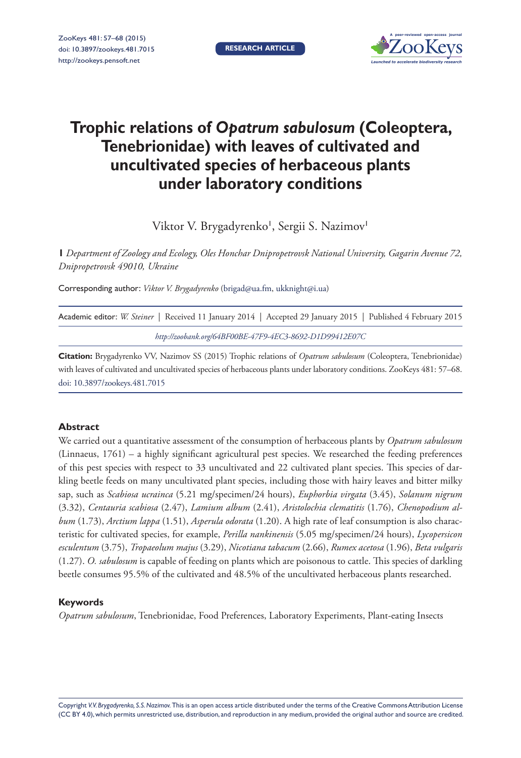**RESEARCH ARTICLE**



# **Trophic relations of** *Opatrum sabulosum* **(Coleoptera, Tenebrionidae) with leaves of cultivated and uncultivated species of herbaceous plants under laboratory conditions**

Viktor V. Brygadyrenko', Sergii S. Nazimov'

**1** *Department of Zoology and Ecology, Oles Honchar Dnipropetrovsk National University, Gagarin Avenue 72, Dnipropetrovsk 49010, Ukraine*

Corresponding author: *Viktor V. Brygadyrenko* ([brigad@ua.fm,](mailto:brigad@ua.fm) [ukknight@i.ua](mailto:ukknight@i.ua))

| Academic editor: W. Steiner   Received 11 January 2014   Accepted 29 January 2015   Published 4 February 2015 |  |
|---------------------------------------------------------------------------------------------------------------|--|
| http://zoobank.org/64BF00BE-47F9-4EC3-8692-D1D99412E07C                                                       |  |

**Citation:** Brygadyrenko VV, Nazimov SS (2015) Trophic relations of *Opatrum sabulosum* (Coleoptera, Tenebrionidae) with leaves of cultivated and uncultivated species of herbaceous plants under laboratory conditions. ZooKeys 481: 57–68. [doi: 10.3897/zookeys.481.7015](http://dx.doi.org/10.3897/zookeys.481.7015)

## **Abstract**

We carried out a quantitative assessment of the consumption of herbaceous plants by *Opatrum sabulosum* (Linnaeus, 1761) – a highly significant agricultural pest species. We researched the feeding preferences of this pest species with respect to 33 uncultivated and 22 cultivated plant species. This species of darkling beetle feeds on many uncultivated plant species, including those with hairy leaves and bitter milky sap, such as *Scabiosa ucrainca* (5.21 mg/specimen/24 hours), *Euphorbia virgata* (3.45), *Solanum nigrum* (3.32), *Centauria scabiosa* (2.47), *Lamium album* (2.41), *Aristolochia clematitis* (1.76), *Chenopodium album* (1.73), *Arctium lappa* (1.51), *Asperula odorata* (1.20). A high rate of leaf consumption is also characteristic for cultivated species, for example, *Perilla nankinensis* (5.05 mg/specimen/24 hours), *Lycopersicon esculentum* (3.75), *Tropaeolum majus* (3.29), *Nicotiana tabacum* (2.66), *Rumex acetosa* (1.96), *Beta vulgaris* (1.27). *O. sabulosum* is capable of feeding on plants which are poisonous to cattle. This species of darkling beetle consumes 95.5% of the cultivated and 48.5% of the uncultivated herbaceous plants researched.

## **Keywords**

*Opatrum sabulosum*, Tenebrionidae, Food Preferences, Laboratory Experiments, Plant-eating Insects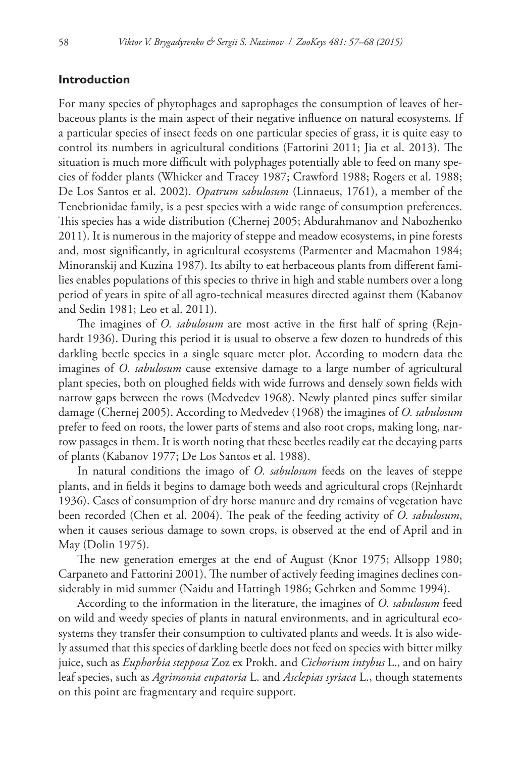## **Introduction**

For many species of phytophages and saprophages the consumption of leaves of herbaceous plants is the main aspect of their negative influence on natural ecosystems. If a particular species of insect feeds on one particular species of grass, it is quite easy to control its numbers in agricultural conditions (Fattorini 2011; Jia et al. 2013). The situation is much more difficult with polyphages potentially able to feed on many species of fodder plants (Whicker and Tracey 1987; Crawford 1988; Rogers et al. 1988; De Los Santos et al. 2002). *Opatrum sabulosum* (Linnaeus, 1761), a member of the Tenebrionidae family, is a pest species with a wide range of consumption preferences. This species has a wide distribution (Chernej 2005; Abdurahmanov and Nabozhenko 2011). It is numerous in the majority of steppe and meadow ecosystems, in pine forests and, most significantly, in agricultural ecosystems (Parmenter and Macmahon 1984; Minoranskij and Kuzina 1987). Its abilty to eat herbaceous plants from different families enables populations of this species to thrive in high and stable numbers over a long period of years in spite of all agro-technical measures directed against them (Kabanov and Sedin 1981; Leo et al. 2011).

The imagines of *O. sabulosum* are most active in the first half of spring (Rejnhardt 1936). During this period it is usual to observe a few dozen to hundreds of this darkling beetle species in a single square meter plot. According to modern data the imagines of *O. sabulosum* cause extensive damage to a large number of agricultural plant species, both on ploughed fields with wide furrows and densely sown fields with narrow gaps between the rows (Medvedev 1968). Newly planted pines suffer similar damage (Chernej 2005). According to Medvedev (1968) the imagines of *O. sabulosum*  prefer to feed on roots, the lower parts of stems and also root crops, making long, narrow passages in them. It is worth noting that these beetles readily eat the decaying parts of plants (Kabanov 1977; De Los Santos et al. 1988).

In natural conditions the imago of *O. sabulosum* feeds on the leaves of steppe plants, and in fields it begins to damage both weeds and agricultural crops (Rejnhardt 1936). Cases of consumption of dry horse manure and dry remains of vegetation have been recorded (Chen et al. 2004). The peak of the feeding activity of *O. sabulosum*, when it causes serious damage to sown crops, is observed at the end of April and in May (Dolin 1975).

The new generation emerges at the end of August (Knor 1975; Allsopp 1980; Carpaneto and Fattorini 2001). The number of actively feeding imagines declines considerably in mid summer (Naidu and Hattingh 1986; Gehrken and Somme 1994).

According to the information in the literature, the imagines of *O. sabulosum* feed on wild and weedy species of plants in natural environments, and in agricultural ecosystems they transfer their consumption to cultivated plants and weeds. It is also widely assumed that this species of darkling beetle does not feed on species with bitter milky juice, such as *Euphorbia stepposa* Zoz ex Prokh. and *Cichorium intybus* L., and on hairy leaf species, such as *Agrimonia eupatoria* L. and *Asclepias syriaca* L., though statements on this point are fragmentary and require support.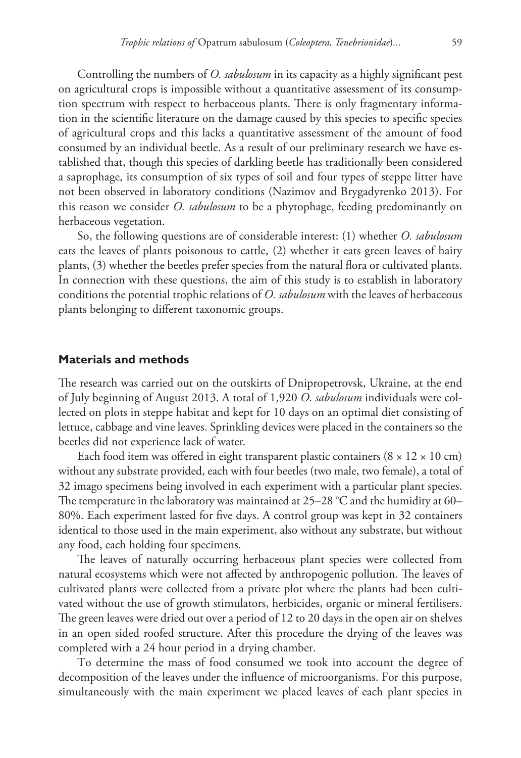Controlling the numbers of *O. sabulosum* in its capacity as a highly significant pest on agricultural crops is impossible without a quantitative assessment of its consumption spectrum with respect to herbaceous plants. There is only fragmentary information in the scientific literature on the damage caused by this species to specific species of agricultural crops and this lacks a quantitative assessment of the amount of food consumed by an individual beetle. As a result of our preliminary research we have established that, though this species of darkling beetle has traditionally been considered a saprophage, its consumption of six types of soil and four types of steppe litter have not been observed in laboratory conditions (Nazimov and Brygadyrenko 2013). For this reason we consider *O. sabulosum* to be a phytophage, feeding predominantly on herbaceous vegetation.

So, the following questions are of considerable interest: (1) whether *O. sabulosum*  eats the leaves of plants poisonous to cattle, (2) whether it eats green leaves of hairy plants, (3) whether the beetles prefer species from the natural flora or cultivated plants. In connection with these questions, the aim of this study is to establish in laboratory conditions the potential trophic relations of *O. sabulosum* with the leaves of herbaceous plants belonging to different taxonomic groups.

## **Materials and methods**

The research was carried out on the outskirts of Dnipropetrovsk, Ukraine, at the end of July beginning of August 2013. A total of 1,920 *O. sabulosum* individuals were collected on plots in steppe habitat and kept for 10 days on an optimal diet consisting of lettuce, cabbage and vine leaves. Sprinkling devices were placed in the containers so the beetles did not experience lack of water.

Each food item was offered in eight transparent plastic containers  $(8 \times 12 \times 10 \text{ cm})$ without any substrate provided, each with four beetles (two male, two female), a total of 32 imago specimens being involved in each experiment with a particular plant species. The temperature in the laboratory was maintained at 25–28  $^{\circ}$ C and the humidity at 60– 80%. Each experiment lasted for five days. A control group was kept in 32 containers identical to those used in the main experiment, also without any substrate, but without any food, each holding four specimens.

The leaves of naturally occurring herbaceous plant species were collected from natural ecosystems which were not affected by anthropogenic pollution. The leaves of cultivated plants were collected from a private plot where the plants had been cultivated without the use of growth stimulators, herbicides, organic or mineral fertilisers. The green leaves were dried out over a period of 12 to 20 days in the open air on shelves in an open sided roofed structure. After this procedure the drying of the leaves was completed with a 24 hour period in a drying chamber.

To determine the mass of food consumed we took into account the degree of decomposition of the leaves under the influence of microorganisms. For this purpose, simultaneously with the main experiment we placed leaves of each plant species in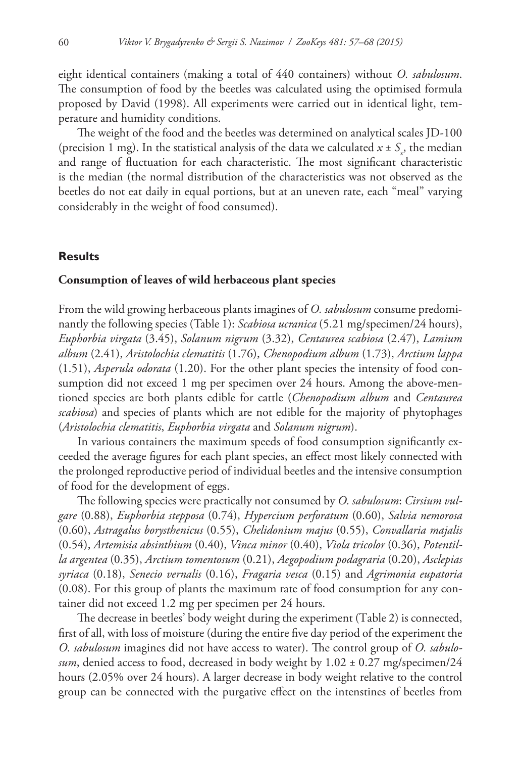eight identical containers (making a total of 440 containers) without *O. sabulosum*. The consumption of food by the beetles was calculated using the optimised formula proposed by David (1998). All experiments were carried out in identical light, temperature and humidity conditions.

The weight of the food and the beetles was determined on analytical scales JD-100 (precision 1 mg). In the statistical analysis of the data we calculated  $x \pm S_x$ , the median and range of fluctuation for each characteristic. The most significant characteristic is the median (the normal distribution of the characteristics was not observed as the beetles do not eat daily in equal portions, but at an uneven rate, each "meal" varying considerably in the weight of food consumed).

## **Results**

## **Consumption of leaves of wild herbaceous plant species**

From the wild growing herbaceous plants imagines of *O. sabulosum* consume predominantly the following species (Table 1): *Scabiosa ucranica* (5.21 mg/specimen/24 hours), *Euphorbia virgata* (3.45), *Solanum nigrum* (3.32), *Centaurea scabiosa* (2.47), *Lamium album* (2.41), *Aristolochia clematitis* (1.76), *Chenopodium album* (1.73), *Arctium lappa* (1.51), *Asperula odorata* (1.20). For the other plant species the intensity of food consumption did not exceed 1 mg per specimen over 24 hours. Among the above-mentioned species are both plants edible for cattle (*Chenopodium album* and *Centaurea scabiosa*) and species of plants which are not edible for the majority of phytophages (*Aristolochia clematitis*, *Euphorbia virgata* and *Solanum nigrum*).

In various containers the maximum speeds of food consumption significantly exceeded the average figures for each plant species, an effect most likely connected with the prolonged reproductive period of individual beetles and the intensive consumption of food for the development of eggs.

The following species were practically not consumed by *O. sabulosum*: *Cirsium vulgare* (0.88), *Euphorbia stepposa* (0.74), *Hypercium perforatum* (0.60), *Salvia nemorosa*  (0.60), *Astragalus borysthenicus* (0.55), *Chelidonium majus* (0.55), *Convallaria majalis*  (0.54), *Artemisia absinthium* (0.40), *Vinca minor* (0.40), *Viola tricolor* (0.36), *Potentilla argentea* (0.35), *Arctium tomentosum* (0.21), *Aegopodium podagraria* (0.20), *Asclepias syriaca* (0.18), *Senecio vernalis* (0.16), *Fragaria vesca* (0.15) and *Agrimonia eupatoria* (0.08). For this group of plants the maximum rate of food consumption for any container did not exceed 1.2 mg per specimen per 24 hours.

The decrease in beetles' body weight during the experiment (Table 2) is connected, first of all, with loss of moisture (during the entire five day period of the experiment the *O. sabulosum* imagines did not have access to water). The control group of *O. sabulosum*, denied access to food, decreased in body weight by 1.02 ± 0.27 mg/specimen/24 hours (2.05% over 24 hours). A larger decrease in body weight relative to the control group can be connected with the purgative effect on the intenstines of beetles from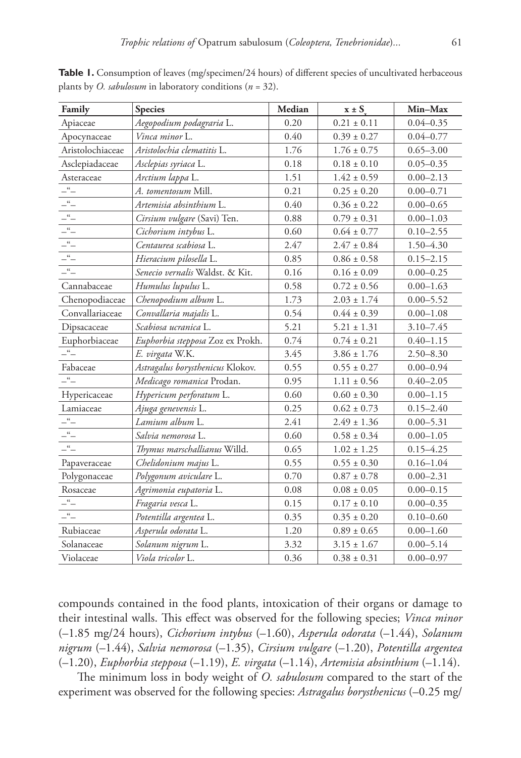| Family                                  | <b>Species</b>                   | Median | $x \pm S$       | Min-Max       |
|-----------------------------------------|----------------------------------|--------|-----------------|---------------|
| Apiaceae                                | Aegopodium podagraria L.         | 0.20   | $0.21 \pm 0.11$ | $0.04 - 0.35$ |
| Apocynaceae                             | Vinca minor L.                   | 0.40   | $0.39 \pm 0.27$ | $0.04 - 0.77$ |
| Aristolochiaceae                        | Aristolochia clematitis L.       | 1.76   | $1.76 \pm 0.75$ | $0.65 - 3.00$ |
| Asclepiadaceae                          | Asclepias syriaca L.             | 0.18   | $0.18 \pm 0.10$ | $0.05 - 0.35$ |
| Asteraceae                              | Arctium lappa L.                 | 1.51   | $1.42 \pm 0.59$ | $0.00 - 2.13$ |
| $\alpha$                                | A. tomentosum Mill.              | 0.21   | $0.25 \pm 0.20$ | $0.00 - 0.71$ |
| $\alpha$                                | Artemisia absinthium L.          | 0.40   | $0.36 \pm 0.22$ | $0.00 - 0.65$ |
| $ -$                                    | Cirsium vulgare (Savi) Ten.      | 0.88   | $0.79 \pm 0.31$ | $0.00 - 1.03$ |
| $-$ <sup>cc</sup> $-$                   | Cichorium intybus L.             | 0.60   | $0.64 \pm 0.77$ | $0.10 - 2.55$ |
| $-$ <sup>cc</sup> $-$                   | Centaurea scabiosa L.            | 2.47   | $2.47 \pm 0.84$ | $1.50 - 4.30$ |
| $\alpha$ <sup><math>\alpha</math></sup> | Hieracium pilosella L.           | 0.85   | $0.86 \pm 0.58$ | $0.15 - 2.15$ |
| $\alpha$                                | Senecio vernalis Waldst. & Kit.  | 0.16   | $0.16 \pm 0.09$ | $0.00 - 0.25$ |
| Cannabaceae                             | Humulus lupulus L.               | 0.58   | $0.72 \pm 0.56$ | $0.00 - 1.63$ |
| Chenopodiaceae                          | Chenopodium album L.             | 1.73   | $2.03 \pm 1.74$ | $0.00 - 5.52$ |
| Convallariaceae                         | Convallaria majalis L.           | 0.54   | $0.44 \pm 0.39$ | $0.00 - 1.08$ |
| Dipsacaceae                             | Scabiosa ucranica L.             | 5.21   | $5.21 \pm 1.31$ | $3.10 - 7.45$ |
| Euphorbiaceae                           | Euphorbia stepposa Zoz ex Prokh. | 0.74   | $0.74 \pm 0.21$ | $0.40 - 1.15$ |
| $\alpha$ <sup><math>\alpha</math></sup> | E. virgata W.K.                  | 3.45   | $3.86 \pm 1.76$ | $2.50 - 8.30$ |
| Fabaceae                                | Astragalus borysthenicus Klokov. | 0.55   | $0.55 \pm 0.27$ | $0.00 - 0.94$ |
| $\alpha$ <sup>c</sup>                   | Medicago romanica Prodan.        | 0.95   | $1.11 \pm 0.56$ | $0.40 - 2.05$ |
| Hypericaceae                            | Hypericum perforatum L.          | 0.60   | $0.60 \pm 0.30$ | $0.00 - 1.15$ |
| Lamiaceae                               | Ajuga genevensis L.              | 0.25   | $0.62 \pm 0.73$ | $0.15 - 2.40$ |
| $\alpha$                                | Lamium album L.                  | 2.41   | $2.49 \pm 1.36$ | $0.00 - 5.31$ |
| $ \frac{a}{-}$                          | Salvia nemorosa L.               | 0.60   | $0.58 \pm 0.34$ | $0.00 - 1.05$ |
| $ -$                                    | Thymus marschallianus Willd.     | 0.65   | $1.02 \pm 1.25$ | $0.15 - 4.25$ |
| Papaveraceae                            | Chelidonium majus L.             | 0.55   | $0.55 \pm 0.30$ | $0.16 - 1.04$ |
| Polygonaceae                            | Polygonum aviculare L.           | 0.70   | $0.87\pm0.78$   | $0.00 - 2.31$ |
| Rosaceae                                | Agrimonia eupatoria L.           | 0.08   | $0.08 \pm 0.05$ | $0.00 - 0.15$ |
| $-$ <sup>cc</sup> —                     | Fragaria vesca L.                | 0.15   | $0.17 \pm 0.10$ | $0.00 - 0.35$ |
| $-\frac{a}{c}$                          | Potentilla argentea L.           | 0.35   | $0.35 \pm 0.20$ | $0.10 - 0.60$ |
| Rubiaceae                               | Asperula odorata L.              | 1.20   | $0.89 \pm 0.65$ | $0.00 - 1.60$ |
| Solanaceae                              | Solanum nigrum L.                | 3.32   | $3.15 \pm 1.67$ | $0.00 - 5.14$ |
| Violaceae                               | Viola tricolor L.                | 0.36   | $0.38 \pm 0.31$ | $0.00 - 0.97$ |

**Table 1.** Consumption of leaves (mg/specimen/24 hours) of different species of uncultivated herbaceous plants by *O. sabulosum* in laboratory conditions (*n* = 32).

compounds contained in the food plants, intoxication of their organs or damage to their intestinal walls. This effect was observed for the following species; *Vinca minor*  (–1.85 mg/24 hours), *Cichorium intybus* (–1.60), *Asperula odorata* (–1.44), *Solanum nigrum* (–1.44), *Salvia nemorosa* (–1.35), *Cirsium vulgare* (–1.20), *Potentilla argentea*  (–1.20), *Euphorbia stepposa* (–1.19), *E. virgata* (–1.14), *Artemisia absinthium* (–1.14).

The minimum loss in body weight of *O. sabulosum* compared to the start of the experiment was observed for the following species: *Astragalus borysthenicus* (–0.25 mg/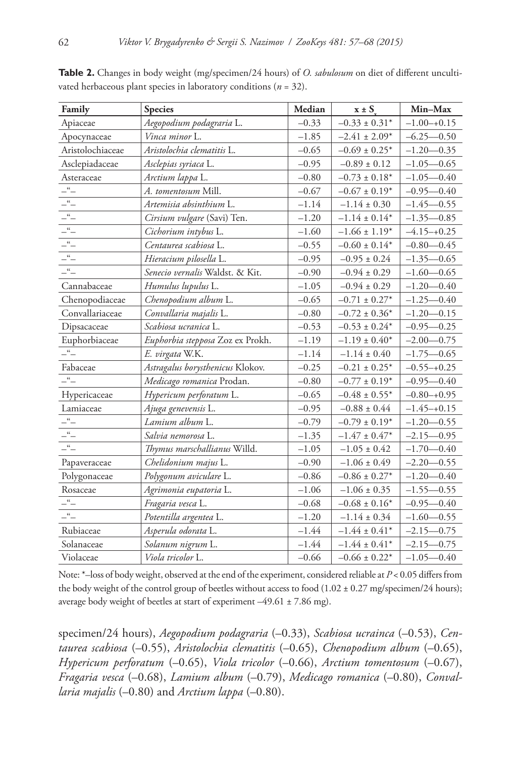| Family                                  | <b>Species</b>                   | Median  | $x \pm S$                     | Min-Max         |
|-----------------------------------------|----------------------------------|---------|-------------------------------|-----------------|
| Apiaceae                                | Aegopodium podagraria L.         | $-0.33$ | $-0.33 \pm 0.31^*$            | $-1.00-+0.15$   |
| Apocynaceae                             | Vinca minor L.                   | $-1.85$ | $-2.41 \pm 2.09^*$            | $-6.25-0.50$    |
| Aristolochiaceae                        | Aristolochia clematitis L.       | $-0.65$ | $-0.69 \pm 0.25^*$            | $-1.20 - 0.35$  |
| Asclepiadaceae                          | Asclepias syriaca L.             | $-0.95$ | $-0.89 \pm 0.12$              | $-1.05 - 0.65$  |
| Asteraceae                              | Arctium lappa L.                 | $-0.80$ | $-0.73 \pm 0.18^*$            | $-1.05 - 0.40$  |
| $-$ <sup>cc</sup> —                     | A. tomentosum Mill.              | $-0.67$ | $-0.67 \pm 0.19^*$            | $-0.95 - 0.40$  |
| $-\frac{\alpha}{\alpha}$                | Artemisia absinthium L.          | $-1.14$ | $-1.14 \pm 0.30$              | $-1.45 - 0.55$  |
| $ -$                                    | Cirsium vulgare (Savi) Ten.      | $-1.20$ | $-1.14 \pm 0.14*$             | $-1.35 - 0.85$  |
| $ -$                                    | Cichorium intybus L.             | $-1.60$ | $-1.66 \pm 1.19*$             | $-4.15 - +0.25$ |
| $-$ <sup>cc</sup> $-$                   | Centaurea scabiosa L.            | $-0.55$ | $-0.60 \pm 0.14*$             | $-0.80 - 0.45$  |
| $-\frac{a}{a}$                          | Hieracium pilosella L.           | $-0.95$ | $-0.95 \pm 0.24$              | $-1.35 - 0.65$  |
| $\frac{a}{a}$                           | Senecio vernalis Waldst. & Kit.  | $-0.90$ | $-0.94 \pm 0.29$              | $-1.60 - 0.65$  |
| Cannabaceae                             | Humulus lupulus L.               | $-1.05$ | $-0.94 \pm 0.29$              | $-1.20 - 0.40$  |
| Chenopodiaceae                          | Chenopodium album L.             | $-0.65$ | $-0.71 \pm 0.27$ <sup>*</sup> | $-1.25 - 0.40$  |
| Convallariaceae                         | Convallaria majalis L.           | $-0.80$ | $-0.72 \pm 0.36^*$            | $-1.20 - 0.15$  |
| Dipsacaceae                             | Scabiosa ucranica L.             | $-0.53$ | $-0.53 \pm 0.24*$             | $-0.95 - 0.25$  |
| Euphorbiaceae                           | Euphorbia stepposa Zoz ex Prokh. | $-1.19$ | $-1.19 \pm 0.40*$             | $-2.00 - 0.75$  |
| $\alpha$ <sup><math>\alpha</math></sup> | E. virgata W.K.                  | $-1.14$ | $-1.14 \pm 0.40$              | $-1.75 - 0.65$  |
| Fabaceae                                | Astragalus borysthenicus Klokov. | $-0.25$ | $-0.21 \pm 0.25^*$            | $-0.55 - +0.25$ |
| $\alpha$                                | Medicago romanica Prodan.        | $-0.80$ | $-0.77 \pm 0.19*$             | $-0.95 - 0.40$  |
| Hypericaceae                            | Hypericum perforatum L.          | $-0.65$ | $-0.48 \pm 0.55^*$            | $-0.80 - +0.95$ |
| Lamiaceae                               | Ajuga genevensis L.              | $-0.95$ | $-0.88 \pm 0.44$              | $-1.45-+0.15$   |
| $\alpha$                                | Lamium album L.                  | $-0.79$ | $-0.79 \pm 0.19*$             | $-1.20 - 0.55$  |
| $-\alpha$                               | Salvia nemorosa L.               | $-1.35$ | $-1.47 \pm 0.47^*$            | $-2.15 - 0.95$  |
| $ -$                                    | Thymus marschallianus Willd.     | $-1.05$ | $-1.05 \pm 0.42$              | $-1.70 - 0.40$  |
| Papaveraceae                            | Chelidonium majus L.             | $-0.90$ | $-1.06 \pm 0.49$              | $-2.20 - 0.55$  |
| Polygonaceae                            | Polygonum aviculare L.           | $-0.86$ | $-0.86 \pm 0.27*$             | $-1.20 - 0.40$  |
| Rosaceae                                | Agrimonia eupatoria L.           | $-1.06$ | $-1.06 \pm 0.35$              | $-1.55 - 0.55$  |
| $-\frac{a}{\pi}$                        | Fragaria vesca L.                | $-0.68$ | $-0.68 \pm 0.16*$             | $-0.95 - 0.40$  |
| $\alpha$                                | Potentilla argentea L.           | $-1.20$ | $-1.14 \pm 0.34$              | $-1.60 - 0.55$  |
| Rubiaceae                               | Asperula odorata L.              | $-1.44$ | $-1.44 \pm 0.41^*$            | $-2.15 - 0.75$  |
| Solanaceae                              | Solanum nigrum L.                | $-1.44$ | $-1.44 \pm 0.41^*$            | $-2.15 - 0.75$  |
| Violaceae                               | Viola tricolor L.                | $-0.66$ | $-0.66 \pm 0.22*$             | $-1.05 - 0.40$  |

**Table 2.** Changes in body weight (mg/specimen/24 hours) of *O. sabulosum* on diet of different uncultivated herbaceous plant species in laboratory conditions (*n* = 32).

Note: \*–loss of body weight, observed at the end of the experiment, considered reliable at *P* < 0.05 differs from the body weight of the control group of beetles without access to food  $(1.02 \pm 0.27 \text{ mg/specimen}/24 \text{ hours})$ ; average body weight of beetles at start of experiment –49.61 ± 7.86 mg).

specimen/24 hours), *Aegopodium podagraria* (–0.33), *Scabiosa ucrainca* (–0.53), *Centaurea scabiosa* (–0.55), *Aristolochia clematitis* (–0.65), *Chenopodium album* (–0.65), *Hypericum perforatum* (–0.65), *Viola tricolor* (–0.66), *Arctium tomentosum* (–0.67), *Fragaria vesca* (–0.68), *Lamium album* (–0.79), *Medicago romanica* (–0.80), *Convallaria majalis* (–0.80) and *Arctium lappa* (–0.80).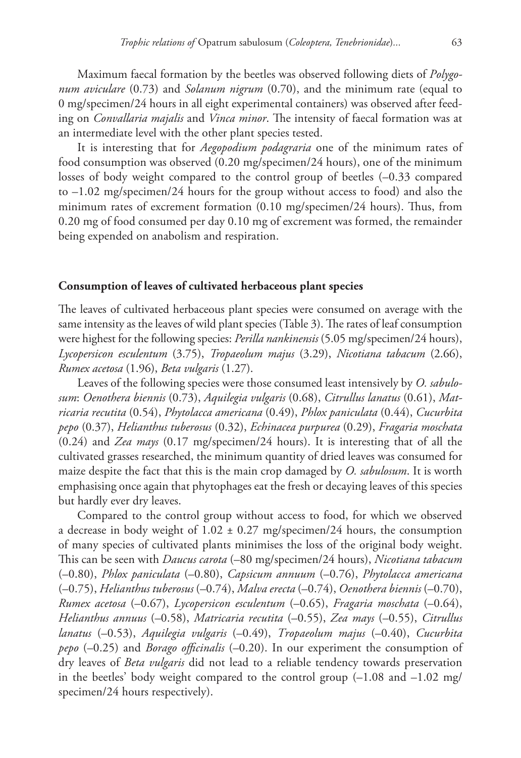Maximum faecal formation by the beetles was observed following diets of *Polygonum aviculare* (0.73) and *Solanum nigrum* (0.70), and the minimum rate (equal to 0 mg/specimen/24 hours in all eight experimental containers) was observed after feeding on *Convallaria majalis* and *Vinca minor*. The intensity of faecal formation was at an intermediate level with the other plant species tested.

It is interesting that for *Aegopodium podagraria* one of the minimum rates of food consumption was observed (0.20 mg/specimen/24 hours), one of the minimum losses of body weight compared to the control group of beetles (–0.33 compared to –1.02 mg/specimen/24 hours for the group without access to food) and also the minimum rates of excrement formation (0.10 mg/specimen/24 hours). Thus, from 0.20 mg of food consumed per day 0.10 mg of excrement was formed, the remainder being expended on anabolism and respiration.

#### **Consumption of leaves of cultivated herbaceous plant species**

The leaves of cultivated herbaceous plant species were consumed on average with the same intensity as the leaves of wild plant species (Table 3). The rates of leaf consumption were highest for the following species: *Perilla nankinensis* (5.05 mg/specimen/24 hours), *Lycopersicon esculentum* (3.75), *Tropaeolum majus* (3.29), *Nicotiana tabacum* (2.66), *Rumex acetosa* (1.96), *Beta vulgaris* (1.27).

Leaves of the following species were those consumed least intensively by *O. sabulosum*: *Oenothera biennis* (0.73), *Aquilegia vulgaris* (0.68), *Citrullus lanatus* (0.61), *Matricaria recutita* (0.54), *Phytolacca americana* (0.49), *Phlox paniculata* (0.44), *Cucurbita pepo* (0.37), *Helianthus tuberosus* (0.32), *Echinacea purpurea* (0.29), *Fragaria moschata*  (0.24) and *Zea mays* (0.17 mg/specimen/24 hours). It is interesting that of all the cultivated grasses researched, the minimum quantity of dried leaves was consumed for maize despite the fact that this is the main crop damaged by *O. sabulosum*. It is worth emphasising once again that phytophages eat the fresh or decaying leaves of this species but hardly ever dry leaves.

Compared to the control group without access to food, for which we observed a decrease in body weight of  $1.02 \pm 0.27$  mg/specimen/24 hours, the consumption of many species of cultivated plants minimises the loss of the original body weight. This can be seen with *Daucus carota* (–80 mg/specimen/24 hours), *Nicotiana tabacum* (–0.80), *Phlox paniculata* (–0.80), *Capsicum annuum* (–0.76), *Phytolacca americana*  (–0.75), *Helianthus tuberosus* (–0.74), *Malva erecta* (–0.74), *Oenothera biennis* (–0.70), *Rumex acetosa* (–0.67), *Lycopersicon esculentum* (–0.65), *Fragaria moschata* (–0.64), *Helianthus annuus* (–0.58), *Matricaria recutita* (–0.55), *Zea mays* (–0.55), *Citrullus lanatus* (–0.53), *Aquilegia vulgaris* (–0.49), *Tropaeolum majus* (–0.40), *Cucurbita pepo* (–0.25) and *Borago officinalis* (–0.20). In our experiment the consumption of dry leaves of *Beta vulgaris* did not lead to a reliable tendency towards preservation in the beetles' body weight compared to the control group (–1.08 and –1.02 mg/ specimen/24 hours respectively).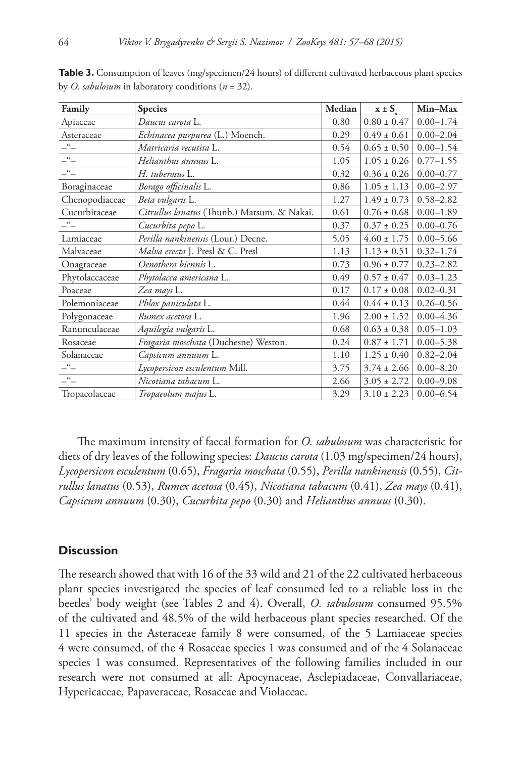| Family                              | <b>Species</b>                              | Median | $x \pm S$       | Min-Max       |
|-------------------------------------|---------------------------------------------|--------|-----------------|---------------|
| Apiaceae                            | Daucus carota L.                            | 0.80   | $0.80 \pm 0.47$ | $0.00 - 1.74$ |
| Asteraceae                          | Echinacea purpurea (L.) Moench.             | 0.29   | $0.49 \pm 0.61$ | $0.00 - 2.04$ |
| $\frac{-\frac{a}{a}}{-\frac{a}{a}}$ | Matricaria recutita L.                      | 0.54   | $0.65 \pm 0.50$ | $0.00 - 1.54$ |
|                                     | Helianthus annuus L.                        | 1.05   | $1.05 \pm 0.26$ | $0.77 - 1.55$ |
|                                     | H. tuberosus L.                             | 0.32   | $0.36 \pm 0.26$ | $0.00 - 0.77$ |
| Boraginaceae                        | Borago officinalis L.                       | 0.86   | $1.05 \pm 1.13$ | $0.00 - 2.97$ |
| Chenopodiaceae                      | Beta vulgaris L.                            | 1.27   | $1.49 \pm 0.73$ | $0.58 - 2.82$ |
| Cucurbitaceae                       | Citrullus lanatus (Thunb.) Matsum. & Nakai. | 0.61   | $0.76 \pm 0.68$ | $0.00 - 1.89$ |
| $\alpha$                            | Cucurbita pepo L.                           | 0.37   | $0.37 \pm 0.25$ | $0.00 - 0.76$ |
| Lamiaceae                           | Perilla nankinensis (Lour.) Decne.          | 5.05   | $4.60 \pm 1.75$ | $0.00 - 5.66$ |
| Malvaceae                           | Malva erecta J. Presl & C. Presl            | 1.13   | $1.13 \pm 0.51$ | $0.32 - 1.74$ |
| Onagraceae                          | Oenothera biennis L.                        | 0.73   | $0.96 \pm 0.77$ | $0.23 - 2.82$ |
| Phytolaccaceae                      | Phytolacca americana L.                     | 0.49   | $0.57 \pm 0.47$ | $0.03 - 1.23$ |
| Poaceae                             | Zea mays L.                                 | 0.17   | $0.17 \pm 0.08$ | $0.02 - 0.31$ |
| Polemoniaceae                       | Phlox paniculata L.                         | 0.44   | $0.44 \pm 0.13$ | $0.26 - 0.56$ |
| Polygonaceae                        | Rumex acetosa L.                            | 1.96   | $2.00 \pm 1.52$ | $0.00 - 4.36$ |
| Ranunculaceae                       | Aquilegia vulgaris L.                       | 0.68   | $0.63 \pm 0.38$ | $0.05 - 1.03$ |
| Rosaceae                            | Fragaria moschata (Duchesne) Weston.        | 0.24   | $0.87 \pm 1.71$ | $0.00 - 5.38$ |
| Solanaceae                          | Capsicum annuum L.                          | 1.10   | $1.25 \pm 0.40$ | $0.82 - 2.04$ |
| $\frac{-\alpha}{-\alpha}$           | Lycopersicon esculentum Mill.               | 3.75   | $3.74 \pm 2.66$ | $0.00 - 8.20$ |
|                                     | Nicotiana tabacum L.                        | 2.66   | $3.05 \pm 2.72$ | $0.00 - 9.08$ |
| Tropaeolaceae                       | Tropaeolum majus L.                         | 3.29   | $3.10 \pm 2.23$ | $0.00 - 6.54$ |

**Table 3.** Consumption of leaves (mg/specimen/24 hours) of different cultivated herbaceous plant species by *O. sabulosum* in laboratory conditions (*n* = 32).

The maximum intensity of faecal formation for *O. sabulosum* was characteristic for diets of dry leaves of the following species: *Daucus carota* (1.03 mg/specimen/24 hours), *Lycopersicon esculentum* (0.65), *Fragaria moschata* (0.55), *Perilla nankinensis* (0.55), *Citrullus lanatus* (0.53), *Rumex acetosa* (0.45), *Nicotiana tabacum* (0.41), *Zea mays* (0.41), *Capsicum annuum* (0.30), *Cucurbita pepo* (0.30) and *Helianthus annuus* (0.30).

## **Discussion**

The research showed that with 16 of the 33 wild and 21 of the 22 cultivated herbaceous plant species investigated the species of leaf consumed led to a reliable loss in the beetles' body weight (see Tables 2 and 4). Overall, *O. sabulosum* consumed 95.5% of the cultivated and 48.5% of the wild herbaceous plant species researched. Of the 11 species in the Asteraceae family 8 were consumed, of the 5 Lamiaceae species 4 were consumed, of the 4 Rosaceae species 1 was consumed and of the 4 Solanaceae species 1 was consumed. Representatives of the following families included in our research were not consumed at all: Apocynaceae, Asclepiadaceae, Convallariaceae, Hypericaceae, Papaveraceae, Rosaceae and Violaceae.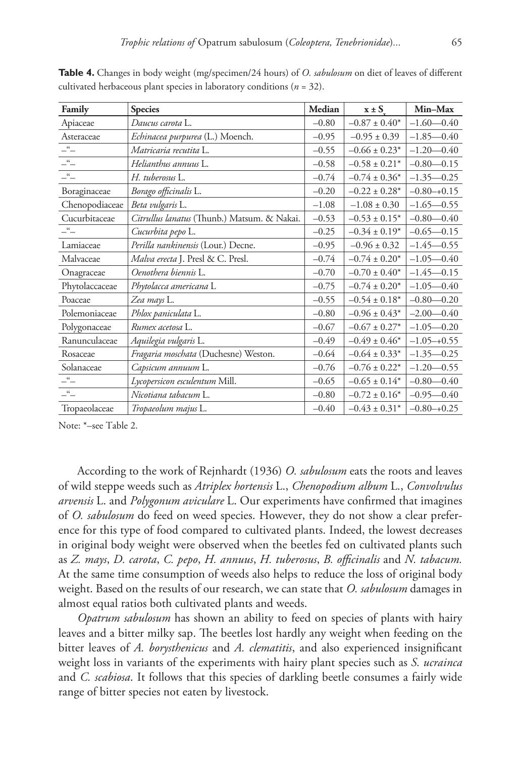| Family                    | <b>Species</b>                              | Median  | $x \pm S$          | Min-Max         |
|---------------------------|---------------------------------------------|---------|--------------------|-----------------|
| Apiaceae                  | Daucus carota L.                            | $-0.80$ | $-0.87 \pm 0.40^*$ | $-1.60 - 0.40$  |
| Asteraceae                | Echinacea purpurea (L.) Moench.             | $-0.95$ | $-0.95 \pm 0.39$   | $-1.85 - 0.40$  |
| $-\frac{a}{c}$            | Matricaria recutita L.                      | $-0.55$ | $-0.66 \pm 0.23$ * | $-1.20 - 0.40$  |
| $\frac{a}{a}$             | Helianthus annuus L.                        | $-0.58$ | $-0.58 \pm 0.21$ * | $-0.80 - 0.15$  |
| $\frac{a}{a}$             | H. tuberosus L.                             | $-0.74$ | $-0.74 \pm 0.36*$  | $-1.35 - 0.25$  |
| Boraginaceae              | Borago officinalis L.                       | $-0.20$ | $-0.22 \pm 0.28$ * | $-0.80 + 0.15$  |
| Chenopodiaceae            | Beta vulgaris L.                            | $-1.08$ | $-1.08 \pm 0.30$   | $-1.65 - 0.55$  |
| Cucurbitaceae             | Citrullus lanatus (Thunb.) Matsum. & Nakai. | $-0.53$ | $-0.53 \pm 0.15^*$ | $-0.80 - 0.40$  |
| $\alpha$                  | Cucurbita pepo L.                           | $-0.25$ | $-0.34 \pm 0.19*$  | $-0.65 - 0.15$  |
| Lamiaceae                 | Perilla nankinensis (Lour.) Decne.          | $-0.95$ | $-0.96 \pm 0.32$   | $-1.45 - 0.55$  |
| Malvaceae                 | Malva erecta J. Presl & C. Presl.           | $-0.74$ | $-0.74 \pm 0.20*$  | $-1.05 - 0.40$  |
| Onagraceae                | Oenothera biennis L.                        | $-0.70$ | $-0.70 \pm 0.40^*$ | $-1.45 - 0.15$  |
| Phytolaccaceae            | Phytolacca americana L                      | $-0.75$ | $-0.74 \pm 0.20*$  | $-1.05 - 0.40$  |
| Poaceae                   | Zea mays L.                                 | $-0.55$ | $-0.54 \pm 0.18^*$ | $-0.80 - 0.20$  |
| Polemoniaceae             | Phlox paniculata L.                         | $-0.80$ | $-0.96 \pm 0.43^*$ | $-2.00 - 0.40$  |
| Polygonaceae              | Rumex acetosa L.                            | $-0.67$ | $-0.67 \pm 0.27$ * | $-1.05 - 0.20$  |
| Ranunculaceae             | Aquilegia vulgaris L.                       | $-0.49$ | $-0.49 \pm 0.46*$  | $-1.05 - +0.55$ |
| Rosaceae                  | Fragaria moschata (Duchesne) Weston.        | $-0.64$ | $-0.64 \pm 0.33$ * | $-1.35 - 0.25$  |
| Solanaceae                | Capsicum annuum L.                          | $-0.76$ | $-0.76 \pm 0.22$ * | $-1.20 - 0.55$  |
| $\frac{-\alpha}{-\alpha}$ | Lycopersicon esculentum Mill.               | $-0.65$ | $-0.65 \pm 0.14*$  | $-0.80 - 0.40$  |
|                           | Nicotiana tabacum L.                        | $-0.80$ | $-0.72 \pm 0.16^*$ | $-0.95 - 0.40$  |
| Tropaeolaceae             | Tropaeolum majus L.                         | $-0.40$ | $-0.43 \pm 0.31^*$ | $-0.80 + 0.25$  |

**Table 4.** Changes in body weight (mg/specimen/24 hours) of *O. sabulosum* on diet of leaves of different cultivated herbaceous plant species in laboratory conditions (*n* = 32).

Note: \*–see Table 2.

According to the work of Rejnhardt (1936) *O. sabulosum* eats the roots and leaves of wild steppe weeds such as *Atriplex hortensis* L., *Chenopodium album* L., *Convolvulus arvensis* L. and *Polygonum aviculare* L. Our experiments have confirmed that imagines of *O. sabulosum* do feed on weed species. However, they do not show a clear preference for this type of food compared to cultivated plants. Indeed, the lowest decreases in original body weight were observed when the beetles fed on cultivated plants such as *Z. mays*, *D. carota*, *C. pepo*, *H. annuus*, *H. tuberosus*, *B. officinalis* and *N. tabacum.*  At the same time consumption of weeds also helps to reduce the loss of original body weight. Based on the results of our research, we can state that *O. sabulosum* damages in almost equal ratios both cultivated plants and weeds.

*Opatrum sabulosum* has shown an ability to feed on species of plants with hairy leaves and a bitter milky sap. The beetles lost hardly any weight when feeding on the bitter leaves of *A. borysthenicus* and *A. clematitis*, and also experienced insignificant weight loss in variants of the experiments with hairy plant species such as *S. ucrainca*  and *C. scabiosa*. It follows that this species of darkling beetle consumes a fairly wide range of bitter species not eaten by livestock.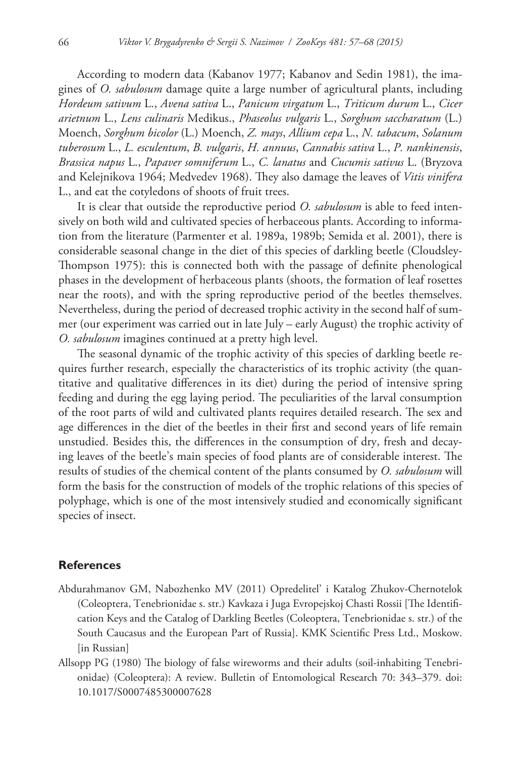According to modern data (Kabanov 1977; Kabanov and Sedin 1981), the imagines of *O. sabulosum* damage quite a large number of agricultural plants, including *Hordeum sativum* L., *Avena sativa* L., *Panicum virgatum* L., *Triticum durum* L., *Cicer arietnum* L., *Lens culinaris* Medikus., *Phaseolus vulgaris* L., *Sorghum saccharatum* (L.) Moench, *Sorghum bicolor* (L.) Moench, *Z. mays*, *Allium cepa* L., *N. tabacum*, *Solanum tuberosum* L., *L. esculentum*, *B. vulgaris*, *H. annuus*, *Cannabis sativa* L., *P. nankinensis*, *Brassica napus* L., *Papaver somniferum* L., *C. lanatus* and *Cucumis sativus* L. (Bryzova and Kelejnikova 1964; Medvedev 1968). They also damage the leaves of *Vitis vinifera*  L., and eat the cotyledons of shoots of fruit trees.

It is clear that outside the reproductive period *O. sabulosum* is able to feed intensively on both wild and cultivated species of herbaceous plants. According to information from the literature (Parmenter et al. 1989a, 1989b; Semida et al. 2001), there is considerable seasonal change in the diet of this species of darkling beetle (Cloudsley-Thompson 1975): this is connected both with the passage of definite phenological phases in the development of herbaceous plants (shoots, the formation of leaf rosettes near the roots), and with the spring reproductive period of the beetles themselves. Nevertheless, during the period of decreased trophic activity in the second half of summer (our experiment was carried out in late July – early August) the trophic activity of *O. sabulosum* imagines continued at a pretty high level.

The seasonal dynamic of the trophic activity of this species of darkling beetle requires further research, especially the characteristics of its trophic activity (the quantitative and qualitative differences in its diet) during the period of intensive spring feeding and during the egg laying period. The peculiarities of the larval consumption of the root parts of wild and cultivated plants requires detailed research. The sex and age differences in the diet of the beetles in their first and second years of life remain unstudied. Besides this, the differences in the consumption of dry, fresh and decaying leaves of the beetle's main species of food plants are of considerable interest. The results of studies of the chemical content of the plants consumed by *O. sabulosum* will form the basis for the construction of models of the trophic relations of this species of polyphage, which is one of the most intensively studied and economically significant species of insect.

## **References**

- Abdurahmanov GM, Nabozhenko MV (2011) Opredelitel' i Katalog Zhukov-Chernotelok (Coleoptera, Tenebrionidae s. str.) Kavkaza i Juga Evropejskoj Chasti Rossii [The Identification Keys and the Catalog of Darkling Beetles (Coleoptera, Tenebrionidae s. str.) of the South Caucasus and the European Part of Russia]. KMK Scientific Press Ltd., Moskow. [in Russian]
- Allsopp PG (1980) The biology of false wireworms and their adults (soil-inhabiting Tenebrionidae) (Coleoptera): A review. Bulletin of Entomological Research 70: 343–379. [doi:](http://dx.doi.org/10.1017/S0007485300007628) [10.1017/S0007485300007628](http://dx.doi.org/10.1017/S0007485300007628)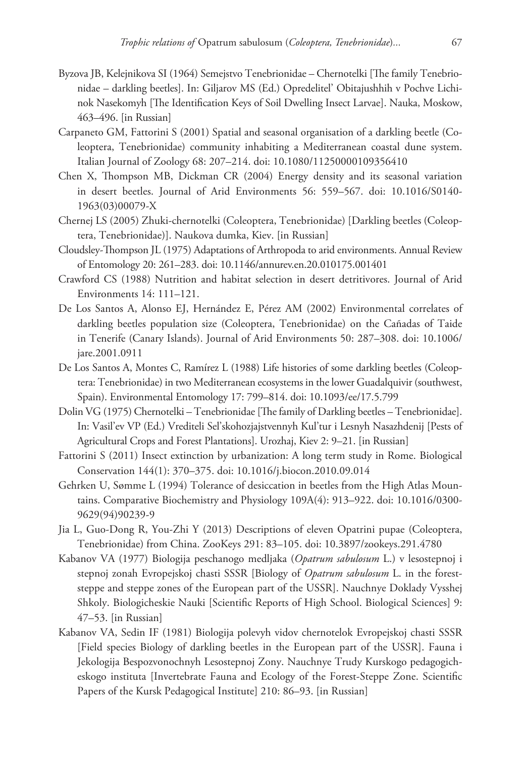- Byzova JB, Kelejnikova SI (1964) Semejstvo Tenebrionidae Chernotelki [The family Tenebrionidae – darkling beetles]. In: Giljarov MS (Ed.) Opredelitel' Obitajushhih v Pochve Lichinok Nasekomyh [The Identification Keys of Soil Dwelling Insect Larvae]. Nauka, Moskow, 463–496. [in Russian]
- Carpaneto GM, Fattorini S (2001) Spatial and seasonal organisation of a darkling beetle (Coleoptera, Tenebrionidae) community inhabiting a Mediterranean coastal dune system. Italian Journal of Zoology 68: 207–214. [doi: 10.1080/11250000109356410](http://dx.doi.org/10.1080/11250000109356410)
- Chen X, Thompson MB, Dickman CR (2004) Energy density and its seasonal variation in desert beetles. Journal of Arid Environments 56: 559–567. [doi: 10.1016/S0140-](http://dx.doi.org/10.1016/S0140-1963(03)00079-X) [1963\(03\)00079-X](http://dx.doi.org/10.1016/S0140-1963(03)00079-X)
- Chernej LS (2005) Zhuki-chernotelki (Coleoptera, Tenebrionidae) [Darkling beetles (Coleoptera, Tenebrionidae)]. Naukova dumka, Kiev. [in Russian]
- Cloudsley-Thompson JL (1975) Adaptations of Arthropoda to arid environments. Annual Review of Entomology 20: 261–283. [doi: 10.1146/annurev.en.20.010175.001401](http://dx.doi.org/10.1146/annurev.en.20.010175.001401)
- Crawford CS (1988) Nutrition and habitat selection in desert detritivores. Journal of Arid Environments 14: 111–121.
- De Los Santos A, Alonso EJ, Hernández E, Pérez AM (2002) Environmental correlates of darkling beetles population size (Coleoptera, Tenebrionidae) on the Cañadas of Taide in Tenerife (Canary Islands). Journal of Arid Environments 50: 287–308. [doi: 10.1006/](http://dx.doi.org/10.1006/jare.2001.0911) [jare.2001.0911](http://dx.doi.org/10.1006/jare.2001.0911)
- De Los Santos A, Montes C, Ramírez L (1988) Life histories of some darkling beetles (Coleoptera: Tenebrionidae) in two Mediterranean ecosystems in the lower Guadalquivir (southwest, Spain). Environmental Entomology 17: 799–814. [doi: 10.1093/ee/17.5.799](http://dx.doi.org/10.1093/ee/17.5.799)
- Dolin VG (1975) Chernotelki Tenebrionidae [The family of Darkling beetles Tenebrionidae]. In: Vasil'ev VP (Ed.) Vrediteli Sel'skohozjajstvennyh Kul'tur i Lesnyh Nasazhdenij [Pests of Agricultural Crops and Forest Plantations]. Urozhaj, Kiev 2: 9–21. [in Russian]
- Fattorini S (2011) Insect extinction by urbanization: A long term study in Rome. Biological Conservation 144(1): 370–375. [doi: 10.1016/j.biocon.2010.09.014](http://dx.doi.org/10.1016/j.biocon.2010.09.014)
- Gehrken U, Sømme L (1994) Tolerance of desiccation in beetles from the High Atlas Mountains. Comparative Biochemistry and Physiology 109A(4): 913–922. [doi: 10.1016/0300-](http://dx.doi.org/10.1016/0300-9629(94)90239-9) [9629\(94\)90239-9](http://dx.doi.org/10.1016/0300-9629(94)90239-9)
- Jia L, Guo-Dong R, You-Zhi Y (2013) Descriptions of eleven Opatrini pupae (Coleoptera, Tenebrionidae) from China. ZooKeys 291: 83–105. [doi: 10.3897/zookeys.291.4780](http://dx.doi.org/10.3897/zookeys.291.4780)
- Kabanov VA (1977) Biologija peschanogo medljaka (*Opatrum sabulosum* L.) v lesostepnoj i stepnoj zonah Evropejskoj chasti SSSR [Biology of *Opatrum sabulosum* L. in the foreststeppe and steppe zones of the European part of the USSR]. Nauchnye Doklady Vysshej Shkoly. Biologicheskie Nauki [Scientific Reports of High School. Biological Sciences] 9: 47–53. [in Russian]
- Kabanov VA, Sedin IF (1981) Biologija polevyh vidov chernotelok Evropejskoj chasti SSSR [Field species Biology of darkling beetles in the European part of the USSR]. Fauna i Jekologija Bespozvonochnyh Lesostepnoj Zony. Nauchnye Trudy Kurskogo pedagogicheskogo instituta [Invertebrate Fauna and Ecology of the Forest-Steppe Zone. Scientific Papers of the Kursk Pedagogical Institute] 210: 86–93. [in Russian]